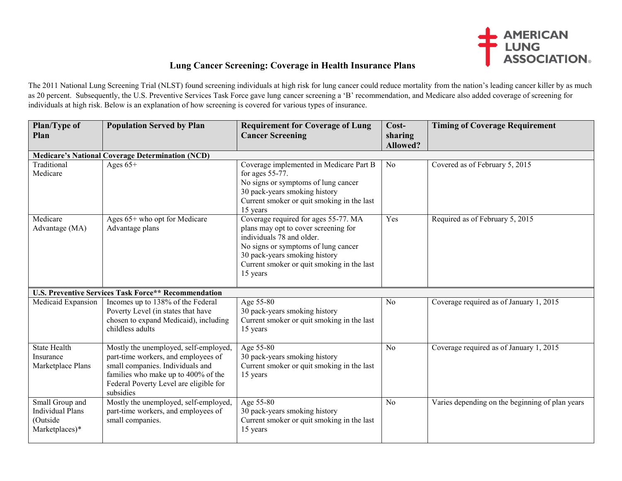

## **Lung Cancer Screening: Coverage in Health Insurance Plans**

The 2011 National Lung Screening Trial (NLST) found screening individuals at high risk for lung cancer could reduce mortality from the nation's leading cancer killer by as much as 20 percent. Subsequently, the U.S. Preventive Services Task Force gave lung cancer screening a 'B' recommendation, and Medicare also added coverage of screening for individuals at high risk. Below is an explanation of how screening is covered for various types of insurance.

| Plan/Type of<br>Plan                                                     | <b>Population Served by Plan</b>                                                                                                                                                                               | <b>Requirement for Coverage of Lung</b><br><b>Cancer Screening</b>                                                                                                                                                                          | Cost-<br>sharing<br><b>Allowed?</b> | <b>Timing of Coverage Requirement</b>           |  |  |  |
|--------------------------------------------------------------------------|----------------------------------------------------------------------------------------------------------------------------------------------------------------------------------------------------------------|---------------------------------------------------------------------------------------------------------------------------------------------------------------------------------------------------------------------------------------------|-------------------------------------|-------------------------------------------------|--|--|--|
| <b>Medicare's National Coverage Determination (NCD)</b>                  |                                                                                                                                                                                                                |                                                                                                                                                                                                                                             |                                     |                                                 |  |  |  |
| Traditional<br>Medicare                                                  | Ages $65+$                                                                                                                                                                                                     | Coverage implemented in Medicare Part B<br>for ages 55-77.<br>No signs or symptoms of lung cancer<br>30 pack-years smoking history<br>Current smoker or quit smoking in the last<br>15 years                                                | N <sub>o</sub>                      | Covered as of February 5, 2015                  |  |  |  |
| Medicare<br>Advantage (MA)                                               | Ages 65+ who opt for Medicare<br>Advantage plans                                                                                                                                                               | Coverage required for ages 55-77. MA<br>plans may opt to cover screening for<br>individuals 78 and older.<br>No signs or symptoms of lung cancer<br>30 pack-years smoking history<br>Current smoker or quit smoking in the last<br>15 years | Yes                                 | Required as of February 5, 2015                 |  |  |  |
| <b>U.S. Preventive Services Task Force** Recommendation</b>              |                                                                                                                                                                                                                |                                                                                                                                                                                                                                             |                                     |                                                 |  |  |  |
| Medicaid Expansion                                                       | Incomes up to 138% of the Federal<br>Poverty Level (in states that have<br>chosen to expand Medicaid), including<br>childless adults                                                                           | Age 55-80<br>30 pack-years smoking history<br>Current smoker or quit smoking in the last<br>15 years                                                                                                                                        | N <sub>o</sub>                      | Coverage required as of January 1, 2015         |  |  |  |
| <b>State Health</b><br>Insurance<br>Marketplace Plans                    | Mostly the unemployed, self-employed,<br>part-time workers, and employees of<br>small companies. Individuals and<br>families who make up to 400% of the<br>Federal Poverty Level are eligible for<br>subsidies | Age 55-80<br>30 pack-years smoking history<br>Current smoker or quit smoking in the last<br>15 years                                                                                                                                        | N <sub>0</sub>                      | Coverage required as of January 1, 2015         |  |  |  |
| Small Group and<br><b>Individual Plans</b><br>(Outside<br>Marketplaces)* | Mostly the unemployed, self-employed,<br>part-time workers, and employees of<br>small companies.                                                                                                               | Age 55-80<br>30 pack-years smoking history<br>Current smoker or quit smoking in the last<br>15 years                                                                                                                                        | N <sub>0</sub>                      | Varies depending on the beginning of plan years |  |  |  |